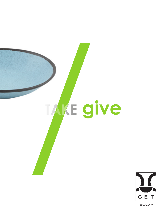



Drinkware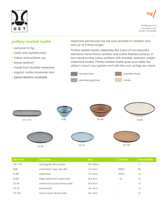# GET

info@fsg.uk.com www.fsg.uk.com +44 (0) 115 9767090

### **pottery market matte**

- exclusive to fsg
- stylish and sophisticated
- indoor and outdoor use
- break resisitant
- made from durable melamine
- organic matte stoneware look
- personalisation available

Melamine dinnerware has the look and feel of ceramic and lasts up to 3 times longer.

Pottery Market Matte celebrates the fusion of two beautiful elements: hand-thrown pottery and matte-finished surfaces. In four head-turning colour patterns with durable, premium weight melamine bodies, Pottery Market Matte gives your table the artisan's touch your guests want with the cost savings you need.



CS-1170 B-80 B-80 B-180 B-180 B-420









| <b>Item Code</b> | <b>Description</b>             | <b>Size</b>       | Capacity                 | <b>Case Quantity</b> |
|------------------|--------------------------------|-------------------|--------------------------|----------------------|
| $CS-1170$        | rectangular dinner plate       | $30 \times 20$ cm | $\overline{\phantom{0}}$ | 12                   |
| $B-80$           | small salad, soup, side dish   | $13 \times 5$ cm  | 350ml                    | 24                   |
| $B-180$          | salad bowl                     | 19x4cm            | 473ml                    | 12                   |
| $B-420$          | large salad bowl, pasta bowl   | $25 \times 4$ cm  | 1.2L                     | 12                   |
| $CS-90$          | small round coupe dinner plate | $23 \times 4$ cm  | $\overline{\phantom{a}}$ | 12                   |
| $CS-70$          | bread plate                    | $18 \times 4$ cm  | $\overline{\phantom{0}}$ | 12                   |
| $CS-100$         | round coupe dinner plate       | $26 \times 4$ cm  | $\overline{\phantom{a}}$ | 12                   |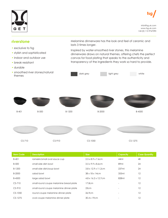# GET

info@fsg.uk.com www.fsg.uk.com +44 (0) 115 9767090

## **riverstone**

- exclusive to fsg
- stylish and sophisticated
- indoor and outdoor use
- break resisitant
- durable
- smoothed river stones/natural themes

Melamine dinnerware has the look and feel of ceramic and lasts 3 times longer.

Inspired by water-smoothed river stones, this melamine dinnerware draws on natural themes, offering chefs the perfect canvas for food plating that speaks to the authenticity and transparency of the ingredients they work so hard to provide.



CS-710 CS-910 CS-1275 B-401 B-500 B-500 B-1200 B-1200 B-2000 B-4500 CS-1050

| <b>Item Code</b> | <b>Description</b>                      | <b>Size</b>                      | <b>Capacity</b>          | <b>Case Quantity</b> |
|------------------|-----------------------------------------|----------------------------------|--------------------------|----------------------|
| $B-401$          | ramekin/small oval sauce cup            | $2.5 \times 8.9 \times 7.6$ cm   | 44ml                     | 48                   |
| B-500            | small side dish bowl                    | $3.5 \times 9.9 \times 8.6$ cm   | 89ml                     | 24                   |
| B-1200           | small side dish/soup bowl               | $3.8 \times 12.9 \times 11.2$ cm | 237ml                    | 24                   |
| B-2000           | salad bowl                              | $38 \times 18 \times 14$ cm      | 355ml                    | 12                   |
| B-4500           | large salad bowl                        | $4.8 \times 16.2 \times 12.7$ cm | 828ml                    | 12                   |
| $CS-710$         | small round coupe melamine bread plate  | 17.8cm                           |                          | 12                   |
| $CS-910$         | small round coupe melamine dinner plate | 23cm                             | $\overline{\phantom{a}}$ | 12                   |
| $CS-1050$        | round coupe melamine dinner plate       | 26.9cm                           | $\overline{\phantom{0}}$ | 12                   |
| $CS-1275$        | oval coupe melamine dinner plate        | 30.4 x 19cm                      |                          | 12                   |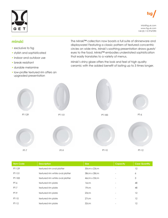



info@fsg.uk.com www.fsg.uk.com +44 (0) 115 9767090

#### **minski**

- exclusive to fsg
- stylish and sophisticated
- indoor and outdoor use
- break resisitant
- durable melamine
- low-profile textured rim offers an upgraded presentation

The Minski™ collection now boasts a full suite of dinnerware and displayware! Featuring a classic pattern of textured concentric circles on wide rims, Minski's soothing presentation draws guests' eyes to the food. Minksi™ embodies understated sophistication that easily translates to a variety of menus.

Minski's shiny glaze offers the look and feel of high quality ceramic with the added benefit of lasting up to 3 times longer.



| <b>Item Code</b> | <b>Description</b>              | <b>Size</b> | <b>Capacity</b>          | <b>Case Quantity</b> |
|------------------|---------------------------------|-------------|--------------------------|----------------------|
| PT-129           | textured rim oval platter       | 30cm x 23cm |                          | 12                   |
| PT-151           | textured rim white oval platter | 38cm x 28cm | $\overline{\phantom{a}}$ | 6                    |
| PT-183           | textured rim white oval platter | 46cm x 33cm | $\qquad \qquad$          | 3                    |
| PT-6             | textured rim plate              | 16cm        |                          | 48                   |
| $PT-7$           | textured rim plate              | 19cm        | $\qquad \qquad$          | 48                   |
| PT-9             | textured rim plate              | 23cm        | $\qquad \qquad$          | 12                   |
| <b>PT-10</b>     | textured rim plate              | 27cm        | $\overline{\phantom{a}}$ | 12                   |
| $PT-12$          | textured rim plate              | 32cm        | $\overline{\phantom{0}}$ | 12                   |